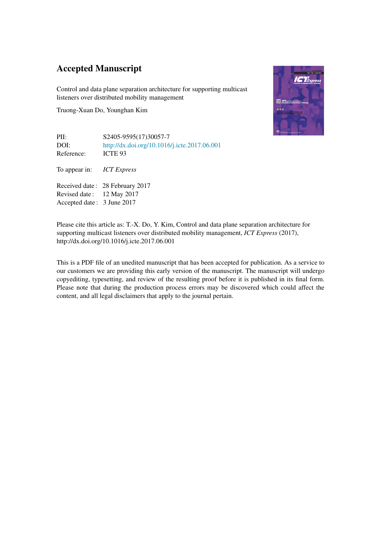### Accepted Manuscript

Control and data plane separation architecture for supporting multicast listeners over distributed mobility management

Truong-Xuan Do, Younghan Kim

PII: S2405-9595(17)30057-7 DOI: <http://dx.doi.org/10.1016/j.icte.2017.06.001> Reference: ICTE 93

To appear in: *ICT Express*

Received date : 28 February 2017 Revised date : 12 May 2017 Accepted date : 3 June 2017



Please cite this article as: T.-X. Do, Y. Kim, Control and data plane separation architecture for supporting multicast listeners over distributed mobility management, *ICT Express* (2017), http://dx.doi.org/10.1016/j.icte.2017.06.001

This is a PDF file of an unedited manuscript that has been accepted for publication. As a service to our customers we are providing this early version of the manuscript. The manuscript will undergo copyediting, typesetting, and review of the resulting proof before it is published in its final form. Please note that during the production process errors may be discovered which could affect the content, and all legal disclaimers that apply to the journal pertain.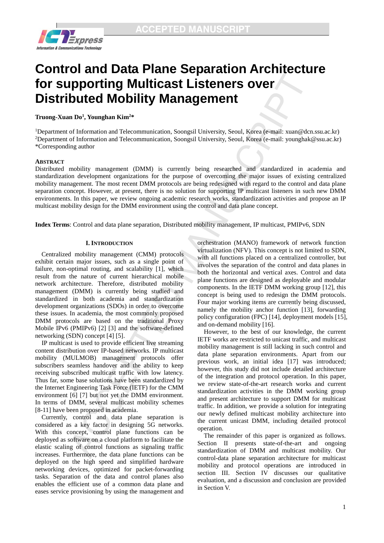

# **Control and Data Plane Separation Architecture for supporting Multicast Listeners over Distributed Mobility Management**

**Truong-Xuan Do<sup>1</sup> , Younghan Kim<sup>2</sup>\***

<sup>1</sup>Department of Information and Telecommunication, Soongsil University, Seoul, Korea (e-mail: xuan@dcn.ssu.ac.kr) <sup>2</sup>Department of Information and Telecommunication, Soongsil University, Seoul, Korea (e-mail: younghak@ssu.ac.kr) \*Corresponding author

#### **ABSTRACT**

Distributed mobility management (DMM) is currently being researched and standardized in academia and standardization development organizations for the purpose of overcoming the major issues of existing centralized mobility management. The most recent DMM protocols are being redesigned with regard to the control and data plane separation concept. However, at present, there is no solution for supporting IP multicast listeners in such new DMM environments. In this paper, we review ongoing academic research works, standardization activities and propose an IP multicast mobility design for the DMM environment using the control and data plane concept.

**Index Terms**: Control and data plane separation, Distributed mobility management, IP multicast, PMIPv6, SDN

#### **I. INTRODUCTION**

Centralized mobility management (CMM) protocols exhibit certain major issues, such as a single point of failure, non-optimal routing, and scalability [1], which result from the nature of current hierarchical mobile network architecture. Therefore, distributed mobility management (DMM) is currently being studied and standardized in both academia and standardization development organizations (SDOs) in order to overcome these issues. In academia, the most commonly proposed DMM protocols are based on the traditional Proxy Mobile IPv6 (PMIPv6) [2] [3] and the software-defined networking (SDN) concept [4] [5].

 IP multicast is used to provide efficient live streaming content distribution over IP-based networks. IP multicast mobility (MULMOB) management protocols offer subscribers seamless handover and the ability to keep receiving subscribed multicast traffic with low latency. Thus far, some base solutions have been standardized by the Internet Engineering Task Force (IETF) for the CMM environment [6] [7] but not yet the DMM environment. In terms of DMM, several multicast mobility schemes [8-11] have been proposed in academia.

Currently, control and data plane separation is considered as a key factor in designing 5G networks. With this concept, control plane functions can be deployed as software on a cloud platform to facilitate the elastic scaling of control functions as signaling traffic increases. Furthermore, the data plane functions can be deployed on the high speed and simplified hardware networking devices, optimized for packet-forwarding tasks. Separation of the data and control planes also enables the efficient use of a common data plane and eases service provisioning by using the management and

orchestration (MANO) framework of network function virtualization (NFV). This concept is not limited to SDN, with all functions placed on a centralized controller, but involves the separation of the control and data planes in both the horizontal and vertical axes. Control and data plane functions are designed as deployable and modular components. In the IETF DMM working group [12], this concept is being used to redesign the DMM protocols. Four major working items are currently being discussed, namely the mobility anchor function [13], forwarding policy configuration (FPC) [14], deployment models [15], and on-demand mobility [16].

However, to the best of our knowledge, the current IETF works are restricted to unicast traffic, and multicast mobility management is still lacking in such control and data plane separation environments. Apart from our previous work, an initial idea [17] was introduced; however, this study did not include detailed architecture of the integration and protocol operation. In this paper, we review state-of-the-art research works and current standardization activities in the DMM working group and present architecture to support DMM for multicast traffic. In addition, we provide a solution for integrating our newly defined multicast mobility architecture into the current unicast DMM, including detailed protocol operation.

The remainder of this paper is organized as follows. Section II presents state-of-the-art and ongoing standardization of DMM and multicast mobility. Our control-data plane separation architecture for multicast mobility and protocol operations are introduced in section III. Section IV discusses our qualitative evaluation, and a discussion and conclusion are provided in Section V.